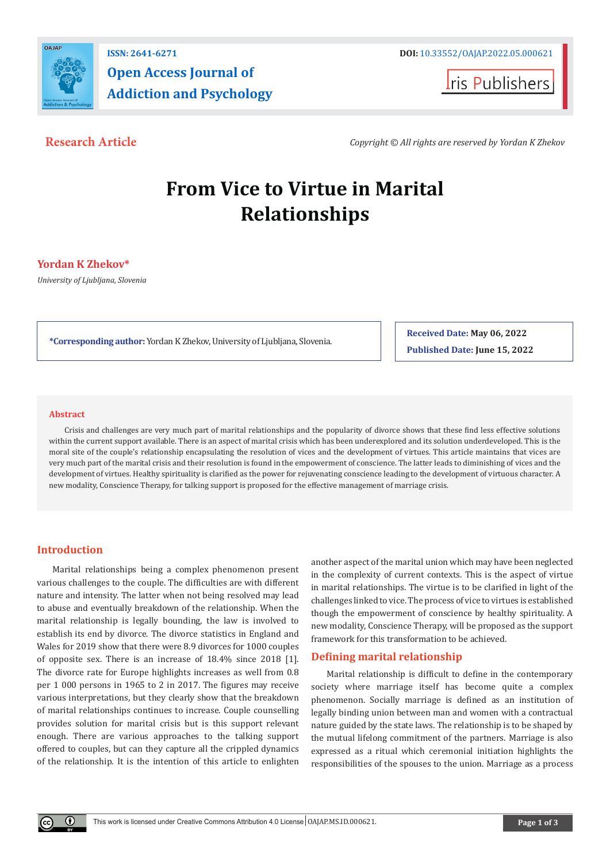

**Iris Publishers** 

**Research Article** *Copyright © All rights are reserved by Yordan K Zhekov*

# **From Vice to Virtue in Marital Relationships**

# **Yordan K Zhekov\***

*University of Ljubljana, Slovenia*

**\*Corresponding author:** Yordan K Zhekov, University of Ljubljana, Slovenia.

**Received Date: May 06, 2022 Published Date: June 15, 2022**

#### **Abstract**

Crisis and challenges are very much part of marital relationships and the popularity of divorce shows that these find less effective solutions within the current support available. There is an aspect of marital crisis which has been underexplored and its solution underdeveloped. This is the moral site of the couple's relationship encapsulating the resolution of vices and the development of virtues. This article maintains that vices are very much part of the marital crisis and their resolution is found in the empowerment of conscience. The latter leads to diminishing of vices and the development of virtues. Healthy spirituality is clarified as the power for rejuvenating conscience leading to the development of virtuous character. A new modality, Conscience Therapy, for talking support is proposed for the effective management of marriage crisis.

# **Introduction**

 $^{\circ}$ 

Marital relationships being a complex phenomenon present various challenges to the couple. The difficulties are with different nature and intensity. The latter when not being resolved may lead to abuse and eventually breakdown of the relationship. When the marital relationship is legally bounding, the law is involved to establish its end by divorce. The divorce statistics in England and Wales for 2019 show that there were 8.9 divorces for 1000 couples of opposite sex. There is an increase of 18.4% since 2018 [1]. The divorce rate for Europe highlights increases as well from 0.8 per 1 000 persons in 1965 to 2 in 2017. The figures may receive various interpretations, but they clearly show that the breakdown of marital relationships continues to increase. Couple counselling provides solution for marital crisis but is this support relevant enough. There are various approaches to the talking support offered to couples, but can they capture all the crippled dynamics of the relationship. It is the intention of this article to enlighten

another aspect of the marital union which may have been neglected in the complexity of current contexts. This is the aspect of virtue in marital relationships. The virtue is to be clarified in light of the challenges linked to vice. The process of vice to virtues is established though the empowerment of conscience by healthy spirituality. A new modality, Conscience Therapy, will be proposed as the support framework for this transformation to be achieved.

# **Defining marital relationship**

Marital relationship is difficult to define in the contemporary society where marriage itself has become quite a complex phenomenon. Socially marriage is defined as an institution of legally binding union between man and women with a contractual nature guided by the state laws. The relationship is to be shaped by the mutual lifelong commitment of the partners. Marriage is also expressed as a ritual which ceremonial initiation highlights the responsibilities of the spouses to the union. Marriage as a process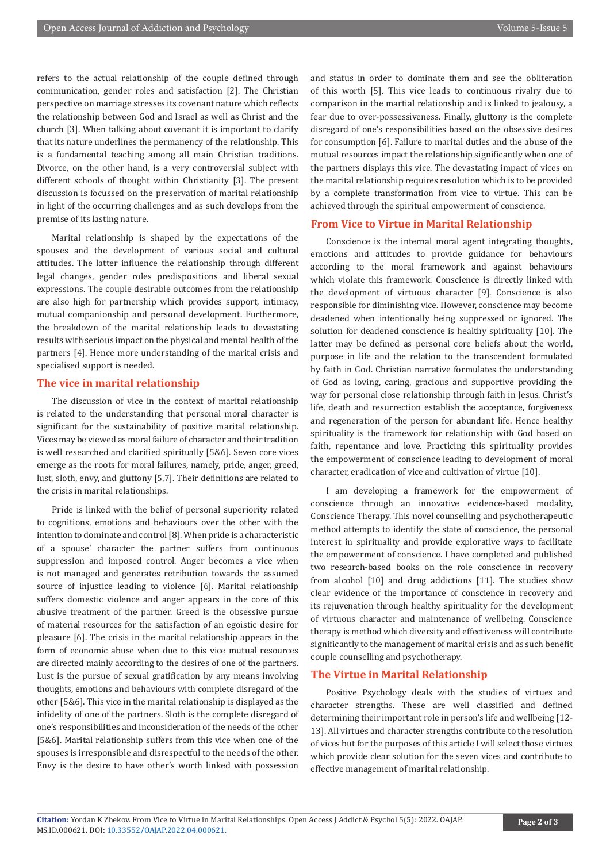refers to the actual relationship of the couple defined through communication, gender roles and satisfaction [2]. The Christian perspective on marriage stresses its covenant nature which reflects the relationship between God and Israel as well as Christ and the church [3]. When talking about covenant it is important to clarify that its nature underlines the permanency of the relationship. This is a fundamental teaching among all main Christian traditions. Divorce, on the other hand, is a very controversial subject with different schools of thought within Christianity [3]. The present discussion is focussed on the preservation of marital relationship in light of the occurring challenges and as such develops from the premise of its lasting nature.

Marital relationship is shaped by the expectations of the spouses and the development of various social and cultural attitudes. The latter influence the relationship through different legal changes, gender roles predispositions and liberal sexual expressions. The couple desirable outcomes from the relationship are also high for partnership which provides support, intimacy, mutual companionship and personal development. Furthermore, the breakdown of the marital relationship leads to devastating results with serious impact on the physical and mental health of the partners [4]. Hence more understanding of the marital crisis and specialised support is needed.

#### **The vice in marital relationship**

The discussion of vice in the context of marital relationship is related to the understanding that personal moral character is significant for the sustainability of positive marital relationship. Vices may be viewed as moral failure of character and their tradition is well researched and clarified spiritually [5&6]. Seven core vices emerge as the roots for moral failures, namely, pride, anger, greed, lust, sloth, envy, and gluttony [5,7]. Their definitions are related to the crisis in marital relationships.

Pride is linked with the belief of personal superiority related to cognitions, emotions and behaviours over the other with the intention to dominate and control [8]. When pride is a characteristic of a spouse' character the partner suffers from continuous suppression and imposed control. Anger becomes a vice when is not managed and generates retribution towards the assumed source of injustice leading to violence [6]. Marital relationship suffers domestic violence and anger appears in the core of this abusive treatment of the partner. Greed is the obsessive pursue of material resources for the satisfaction of an egoistic desire for pleasure [6]. The crisis in the marital relationship appears in the form of economic abuse when due to this vice mutual resources are directed mainly according to the desires of one of the partners. Lust is the pursue of sexual gratification by any means involving thoughts, emotions and behaviours with complete disregard of the other [5&6]. This vice in the marital relationship is displayed as the infidelity of one of the partners. Sloth is the complete disregard of one's responsibilities and inconsideration of the needs of the other [5&6]. Marital relationship suffers from this vice when one of the spouses is irresponsible and disrespectful to the needs of the other. Envy is the desire to have other's worth linked with possession

and status in order to dominate them and see the obliteration of this worth [5]. This vice leads to continuous rivalry due to comparison in the martial relationship and is linked to jealousy, a fear due to over-possessiveness. Finally, gluttony is the complete disregard of one's responsibilities based on the obsessive desires for consumption [6]. Failure to marital duties and the abuse of the mutual resources impact the relationship significantly when one of the partners displays this vice. The devastating impact of vices on the marital relationship requires resolution which is to be provided by a complete transformation from vice to virtue. This can be achieved through the spiritual empowerment of conscience.

### **From Vice to Virtue in Marital Relationship**

Conscience is the internal moral agent integrating thoughts, emotions and attitudes to provide guidance for behaviours according to the moral framework and against behaviours which violate this framework. Conscience is directly linked with the development of virtuous character [9]. Conscience is also responsible for diminishing vice. However, conscience may become deadened when intentionally being suppressed or ignored. The solution for deadened conscience is healthy spirituality [10]. The latter may be defined as personal core beliefs about the world, purpose in life and the relation to the transcendent formulated by faith in God. Christian narrative formulates the understanding of God as loving, caring, gracious and supportive providing the way for personal close relationship through faith in Jesus. Christ's life, death and resurrection establish the acceptance, forgiveness and regeneration of the person for abundant life. Hence healthy spirituality is the framework for relationship with God based on faith, repentance and love. Practicing this spirituality provides the empowerment of conscience leading to development of moral character, eradication of vice and cultivation of virtue [10].

I am developing a framework for the empowerment of conscience through an innovative evidence-based modality, Conscience Therapy. This novel counselling and psychotherapeutic method attempts to identify the state of conscience, the personal interest in spirituality and provide explorative ways to facilitate the empowerment of conscience. I have completed and published two research-based books on the role conscience in recovery from alcohol [10] and drug addictions [11]. The studies show clear evidence of the importance of conscience in recovery and its rejuvenation through healthy spirituality for the development of virtuous character and maintenance of wellbeing. Conscience therapy is method which diversity and effectiveness will contribute significantly to the management of marital crisis and as such benefit couple counselling and psychotherapy.

### **The Virtue in Marital Relationship**

Positive Psychology deals with the studies of virtues and character strengths. These are well classified and defined determining their important role in person's life and wellbeing [12- 13]. All virtues and character strengths contribute to the resolution of vices but for the purposes of this article I will select those virtues which provide clear solution for the seven vices and contribute to effective management of marital relationship.